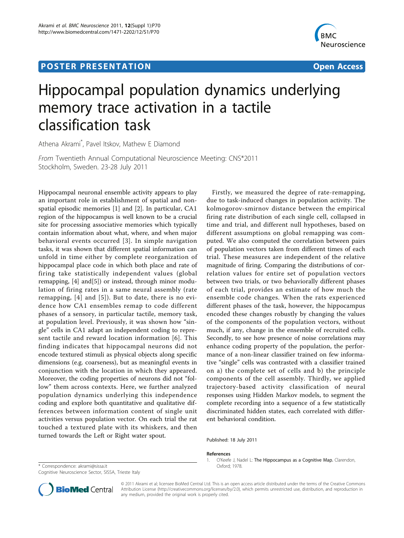## **POSTER PRESENTATION CONSUMING THE SERVICE SERVICE SERVICES**



# Hippocampal population dynamics underlying memory trace activation in a tactile classification task

Athena Akrami\* , Pavel Itskov, Mathew E Diamond

From Twentieth Annual Computational Neuroscience Meeting: CNS\*2011 Stockholm, Sweden. 23-28 July 2011

Hippocampal neuronal ensemble activity appears to play an important role in establishment of spatial and nonspatial episodic memories [1] and [[2\]](#page-1-0). In particular, CA1 region of the hippocampus is well known to be a crucial site for processing associative memories which typically contain information about what, where, and when major behavioral events occurred [[3](#page-1-0)]. In simple navigation tasks, it was shown that different spatial information can unfold in time either by complete reorganization of hippocampal place code in which both place and rate of firing take statistically independent values (global remapping, [[4\]](#page-1-0) and[\[5](#page-1-0)]) or instead, through minor modulation of firing rates in a same neural assembly (rate remapping, [[4](#page-1-0)] and [\[5\]](#page-1-0)). But to date, there is no evidence how CA1 ensembles remap to code different phases of a sensory, in particular tactile, memory task, at population level. Previously, it was shown how "single" cells in CA1 adapt an independent coding to represent tactile and reward location information [[6](#page-1-0)]. This finding indicates that hippocampal neurons did not encode textured stimuli as physical objects along specific dimensions (e.g. coarseness), but as meaningful events in conjunction with the location in which they appeared. Moreover, the coding properties of neurons did not "follow" them across contexts. Here, we further analyzed population dynamics underlying this independence coding and explore both quantitative and qualitative differences between information content of single unit activities versus population vector. On each trial the rat touched a textured plate with its whiskers, and then turned towards the Left or Right water spout.

Firstly, we measured the degree of rate-remapping, due to task-induced changes in population activity. The kolmogorov-smirnov distance between the empirical firing rate distribution of each single cell, collapsed in time and trial, and different null hypotheses, based on different assumptions on global remapping was computed. We also computed the correlation between pairs of population vectors taken from different times of each trial. These measures are independent of the relative magnitude of firing. Comparing the distributions of correlation values for entire set of population vectors between two trials, or two behaviorally different phases of each trial, provides an estimate of how much the ensemble code changes. When the rats experienced different phases of the task, however, the hippocampus encoded these changes robustly by changing the values of the components of the population vectors, without much, if any, change in the ensemble of recruited cells. Secondly, to see how presence of noise correlations may enhance coding property of the population, the performance of a non-linear classifier trained on few informative "single" cells was contrasted with a classifier trained on a) the complete set of cells and b) the principle components of the cell assembly. Thirdly, we applied trajectory-based activity classification of neural responses using Hidden Markov models, to segment the complete recording into a sequence of a few statistically discriminated hidden states, each correlated with different behavioral condition.

Published: 18 July 2011

#### References

1. O'Keefe J, Nadel L: The Hippocampus as a Cognitive Map. Clarendon,

\* Correspondence: [akrami@sissa.it](mailto:akrami@sissa.it) Oxford; 1978.

Cognitive Neuroscience Sector, SISSA, Trieste Italy



© 2011 Akrami et al; licensee BioMed Central Ltd. This is an open access article distributed under the terms of the Creative Commons Attribution License [\(http://creativecommons.org/licenses/by/2.0](http://creativecommons.org/licenses/by/2.0)), which permits unrestricted use, distribution, and reproduction in any medium, provided the original work is properly cited.